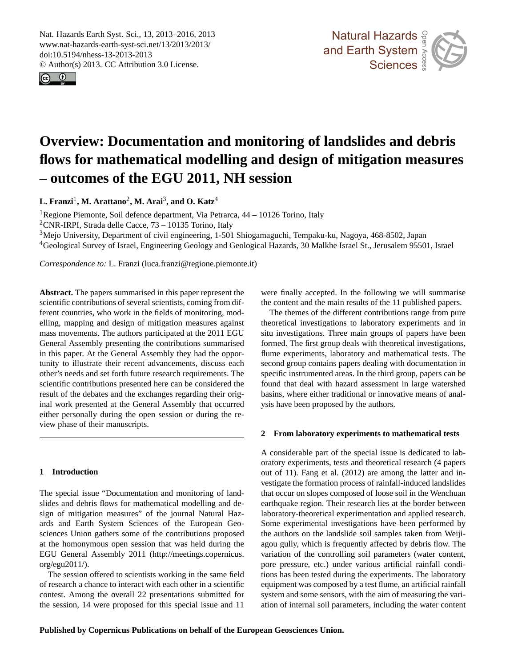<span id="page-0-0"></span>Nat. Hazards Earth Syst. Sci., 13, 2013–2016, 2013 www.nat-hazards-earth-syst-sci.net/13/2013/2013/ doi:10.5194/nhess-13-2013-2013 © Author(s) 2013. CC Attribution 3.0 License.





### itigation me Measurement  $\mathbf{e}$ **Overview: Documentation and monitoring of landslides and debris flows for mathematical modelling and design of mitigation measures – outcomes of the EGU 2011, NH session**

**L. Franzi**<sup>1</sup> **, M. Arattano**<sup>2</sup> **, M. Arai**<sup>3</sup> **, and O. Katz**<sup>4</sup>

<sup>1</sup>Regione Piemonte, Soil defence department, Via Petrarca,  $44 - 10126$  Torino, Italy

<sup>2</sup>CNR-IRPI, Strada delle Cacce,  $73 - 10135$  Torino, Italy

-CNR-IRPI, Strada delle Cacce, 75 – 10135 Torino, Italy<br><sup>3</sup>Mejo University, Department of civil engineering, 1-501 Shiogamaguchi, Tempaku-ku, Nagoya, 468-8502, Japan

an<br>50 <sup>4</sup>Geological Survey of Israel, Engineering Geology and Geological Hazards, 30 Malkhe Israel St., Jerusalem 95501, Israel

*Correspondence to:* L. Franzi (luca.franzi@regione.piemonte.it)

**Abstract.** The papers summarised in this paper represent the scientific contributions of several scientists, coming from different countries, who work in the fields of monitoring, modelling, mapping and design of mitigation measures against mass movements. The authors participated at the 2011 EGU General Assembly presenting the contributions summarised in this paper. At the General Assembly they had the opportunity to illustrate their recent advancements, discuss each other's needs and set forth future research requirements. The scientific contributions presented here can be considered the result of the debates and the exchanges regarding their original work presented at the General Assembly that occurred either personally during the open session or during the review phase of their manuscripts.

## **1 Introduction**

The special issue "Documentation and monitoring of landslides and debris flows for mathematical modelling and design of mitigation measures" of the journal Natural Hazards and Earth System Sciences of the European Geosciences Union gathers some of the contributions proposed at the homonymous open session that was held during the EGU General Assembly 2011 [\(http://meetings.copernicus.](http://meetings.copernicus.org/egu2011/) [org/egu2011/\)](http://meetings.copernicus.org/egu2011/).

The session offered to scientists working in the same field of research a chance to interact with each other in a scientific contest. Among the overall 22 presentations submitted for the session, 14 were proposed for this special issue and 11 were finally accepted. In the following we will summaris<br>the content and the main results of the 11 published papers. ll<br>sh were finally accepted. In the following we will summarise

First and Engineering Times and a property of properties and County flume experiments, laboratory and mathematical tests. The ers<br>nv<br>ca<br>un basins, where either traditional or innovative means of analysis have been proposed by the authors. ne:<br>
<br>
<br>
<br>
<br>
<br>
<br>
<br><br><br><br><br><br><br><br><br><br><br><br> The themes of the different contributions range from pure theoretical investigations to laboratory experiments and in situ investigations. Three main groups of papers have been second group contains papers dealing with documentation in specific instrumented areas. In the third group, papers can be found that deal with hazard assessment in large watershed

# 2 From laboratory experiments to mathematical tests

oratory experiments, tests and theoretical research (4 papers vestigate the formation process of rainfall-induced landslides nc<br>rc<br>la<br>le laboratory-theoretical experimentation and applied research.<br>Same agreemental investigations have been performed by Earth System the authors on the landslide soil samples taken from Weijiagou gully, which is frequently affected by debris flow. The lıe<br>pen<br>Dri system and some sensors, with the aim of measuring the varihe<br>ifi<br>wa<br>wa A considerable part of the special issue is dedicated to labout of 11). Fang et al. (2012) are among the latter and inthat occur on slopes composed of loose soil in the Wenchuan earthquake region. Their research lies at the border between Some experimental investigations have been performed by variation of the controlling soil parameters (water content, pore pressure, etc.) under various artificial rainfall conditions has been tested during the experiments. The laboratory equipment was composed by a test flume, an artificial rainfall ation of internal soil parameters, including the water content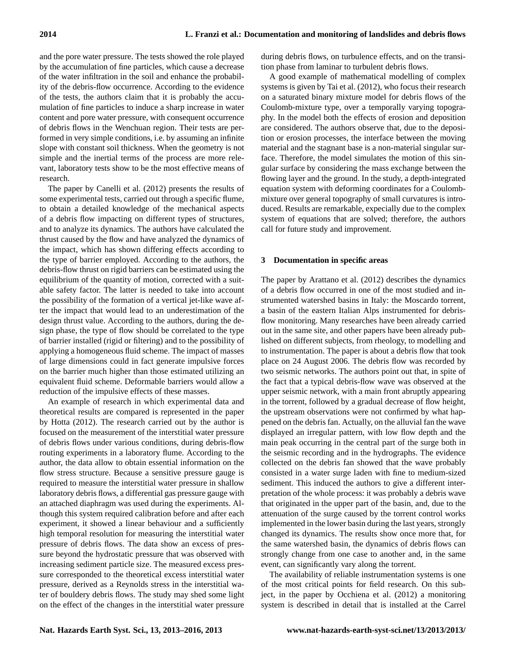and the pore water pressure. The tests showed the role played by the accumulation of fine particles, which cause a decrease of the water infiltration in the soil and enhance the probability of the debris-flow occurrence. According to the evidence of the tests, the authors claim that it is probably the accumulation of fine particles to induce a sharp increase in water content and pore water pressure, with consequent occurrence of debris flows in the Wenchuan region. Their tests are performed in very simple conditions, i.e. by assuming an infinite slope with constant soil thickness. When the geometry is not simple and the inertial terms of the process are more relevant, laboratory tests show to be the most effective means of research.

The paper by Canelli et al. (2012) presents the results of some experimental tests, carried out through a specific flume, to obtain a detailed knowledge of the mechanical aspects of a debris flow impacting on different types of structures, and to analyze its dynamics. The authors have calculated the thrust caused by the flow and have analyzed the dynamics of the impact, which has shown differing effects according to the type of barrier employed. According to the authors, the debris-flow thrust on rigid barriers can be estimated using the equilibrium of the quantity of motion, corrected with a suitable safety factor. The latter is needed to take into account the possibility of the formation of a vertical jet-like wave after the impact that would lead to an underestimation of the design thrust value. According to the authors, during the design phase, the type of flow should be correlated to the type of barrier installed (rigid or filtering) and to the possibility of applying a homogeneous fluid scheme. The impact of masses of large dimensions could in fact generate impulsive forces on the barrier much higher than those estimated utilizing an equivalent fluid scheme. Deformable barriers would allow a reduction of the impulsive effects of these masses.

An example of research in which experimental data and theoretical results are compared is represented in the paper by Hotta (2012). The research carried out by the author is focused on the measurement of the interstitial water pressure of debris flows under various conditions, during debris-flow routing experiments in a laboratory flume. According to the author, the data allow to obtain essential information on the flow stress structure. Because a sensitive pressure gauge is required to measure the interstitial water pressure in shallow laboratory debris flows, a differential gas pressure gauge with an attached diaphragm was used during the experiments. Although this system required calibration before and after each experiment, it showed a linear behaviour and a sufficiently high temporal resolution for measuring the interstitial water pressure of debris flows. The data show an excess of pressure beyond the hydrostatic pressure that was observed with increasing sediment particle size. The measured excess pressure corresponded to the theoretical excess interstitial water pressure, derived as a Reynolds stress in the interstitial water of bouldery debris flows. The study may shed some light on the effect of the changes in the interstitial water pressure during debris flows, on turbulence effects, and on the transition phase from laminar to turbulent debris flows.

A good example of mathematical modelling of complex systems is given by Tai et al. (2012), who focus their research on a saturated binary mixture model for debris flows of the Coulomb-mixture type, over a temporally varying topography. In the model both the effects of erosion and deposition are considered. The authors observe that, due to the deposition or erosion processes, the interface between the moving material and the stagnant base is a non-material singular surface. Therefore, the model simulates the motion of this singular surface by considering the mass exchange between the flowing layer and the ground. In the study, a depth-integrated equation system with deforming coordinates for a Coulombmixture over general topography of small curvatures is introduced. Results are remarkable, expecially due to the complex system of equations that are solved; therefore, the authors call for future study and improvement.

#### **3 Documentation in specific areas**

The paper by Arattano et al. (2012) describes the dynamics of a debris flow occurred in one of the most studied and instrumented watershed basins in Italy: the Moscardo torrent, a basin of the eastern Italian Alps instrumented for debrisflow monitoring. Many researches have been already carried out in the same site, and other papers have been already published on different subjects, from rheology, to modelling and to instrumentation. The paper is about a debris flow that took place on 24 August 2006. The debris flow was recorded by two seismic networks. The authors point out that, in spite of the fact that a typical debris-flow wave was observed at the upper seismic network, with a main front abruptly appearing in the torrent, followed by a gradual decrease of flow height, the upstream observations were not confirmed by what happened on the debris fan. Actually, on the alluvial fan the wave displayed an irregular pattern, with low flow depth and the main peak occurring in the central part of the surge both in the seismic recording and in the hydrographs. The evidence collected on the debris fan showed that the wave probably consisted in a water surge laden with fine to medium-sized sediment. This induced the authors to give a different interpretation of the whole process: it was probably a debris wave that originated in the upper part of the basin, and, due to the attenuation of the surge caused by the torrent control works implemented in the lower basin during the last years, strongly changed its dynamics. The results show once more that, for the same watershed basin, the dynamics of debris flows can strongly change from one case to another and, in the same event, can significantly vary along the torrent.

The availability of reliable instrumentation systems is one of the most critical points for field research. On this subject, in the paper by Occhiena et al. (2012) a monitoring system is described in detail that is installed at the Carrel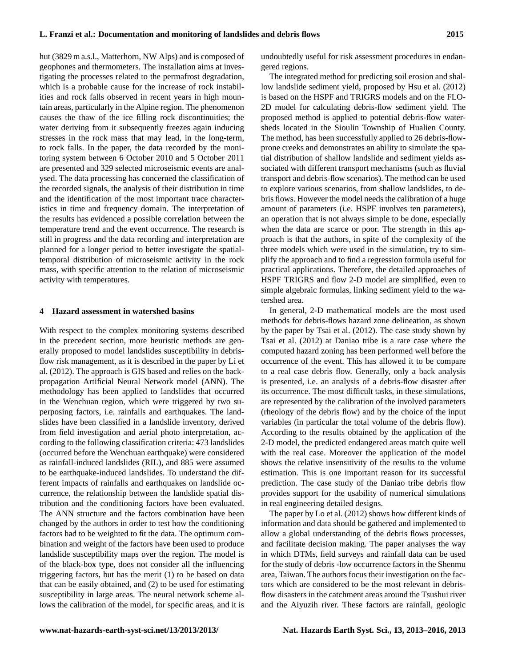hut (3829 m a.s.l., Matterhorn, NW Alps) and is composed of geophones and thermometers. The installation aims at investigating the processes related to the permafrost degradation, which is a probable cause for the increase of rock instabilities and rock falls observed in recent years in high mountain areas, particularly in the Alpine region. The phenomenon causes the thaw of the ice filling rock discontinuities; the water deriving from it subsequently freezes again inducing stresses in the rock mass that may lead, in the long-term, to rock falls. In the paper, the data recorded by the monitoring system between 6 October 2010 and 5 October 2011 are presented and 329 selected microseismic events are analysed. The data processing has concerned the classification of the recorded signals, the analysis of their distribution in time and the identification of the most important trace characteristics in time and frequency domain. The interpretation of the results has evidenced a possible correlation between the temperature trend and the event occurrence. The research is still in progress and the data recording and interpretation are planned for a longer period to better investigate the spatialtemporal distribution of microseismic activity in the rock mass, with specific attention to the relation of microseismic activity with temperatures.

#### **4 Hazard assessment in watershed basins**

With respect to the complex monitoring systems described in the precedent section, more heuristic methods are generally proposed to model landslides susceptibility in debrisflow risk management, as it is described in the paper by Li et al. (2012). The approach is GIS based and relies on the backpropagation Artificial Neural Network model (ANN). The methodology has been applied to landslides that occurred in the Wenchuan region, which were triggered by two superposing factors, i.e. rainfalls and earthquakes. The landslides have been classified in a landslide inventory, derived from field investigation and aerial photo interpretation, according to the following classification criteria: 473 landslides (occurred before the Wenchuan earthquake) were considered as rainfall-induced landslides (RIL), and 885 were assumed to be earthquake-induced landslides. To understand the different impacts of rainfalls and earthquakes on landslide occurrence, the relationship between the landslide spatial distribution and the conditioning factors have been evaluated. The ANN structure and the factors combination have been changed by the authors in order to test how the conditioning factors had to be weighted to fit the data. The optimum combination and weight of the factors have been used to produce landslide susceptibility maps over the region. The model is of the black-box type, does not consider all the influencing triggering factors, but has the merit (1) to be based on data that can be easily obtained, and (2) to be used for estimating susceptibility in large areas. The neural network scheme allows the calibration of the model, for specific areas, and it is undoubtedly useful for risk assessment procedures in endangered regions.

The integrated method for predicting soil erosion and shallow landslide sediment yield, proposed by Hsu et al. (2012) is based on the HSPF and TRIGRS models and on the FLO-2D model for calculating debris-flow sediment yield. The proposed method is applied to potential debris-flow watersheds located in the Sioulin Township of Hualien County. The method, has been successfully applied to 26 debris-flowprone creeks and demonstrates an ability to simulate the spatial distribution of shallow landslide and sediment yields associated with different transport mechanisms (such as fluvial transport and debris-flow scenarios). The method can be used to explore various scenarios, from shallow landslides, to debris flows. However the model needs the calibration of a huge amount of parameters (i.e. HSPF involves ten parameters), an operation that is not always simple to be done, especially when the data are scarce or poor. The strength in this approach is that the authors, in spite of the complexity of the three models which were used in the simulation, try to simplify the approach and to find a regression formula useful for practical applications. Therefore, the detailed approaches of HSPF TRIGRS and flow 2-D model are simplified, even to simple algebraic formulas, linking sediment yield to the watershed area.

In general, 2-D mathematical models are the most used methods for debris-flows hazard zone delineation, as shown by the paper by Tsai et al. (2012). The case study shown by Tsai et al. (2012) at Daniao tribe is a rare case where the computed hazard zoning has been performed well before the occurrence of the event. This has allowed it to be compare to a real case debris flow. Generally, only a back analysis is presented, i.e. an analysis of a debris-flow disaster after its occurrence. The most difficult tasks, in these simulations, are represented by the calibration of the involved parameters (rheology of the debris flow) and by the choice of the input variables (in particular the total volume of the debris flow). According to the results obtained by the application of the 2-D model, the predicted endangered areas match quite well with the real case. Moreover the application of the model shows the relative insensitivity of the results to the volume estimation. This is one important reason for its successful prediction. The case study of the Daniao tribe debris flow provides support for the usability of numerical simulations in real engineering detailed designs.

The paper by Lo et al. (2012) shows how different kinds of information and data should be gathered and implemented to allow a global understanding of the debris flows processes, and facilitate decision making. The paper analyses the way in which DTMs, field surveys and rainfall data can be used for the study of debris -low occurrence factors in the Shenmu area, Taiwan. The authors focus their investigation on the factors which are considered to be the most relevant in debrisflow disasters in the catchment areas around the Tsushui river and the Aiyuzih river. These factors are rainfall, geologic